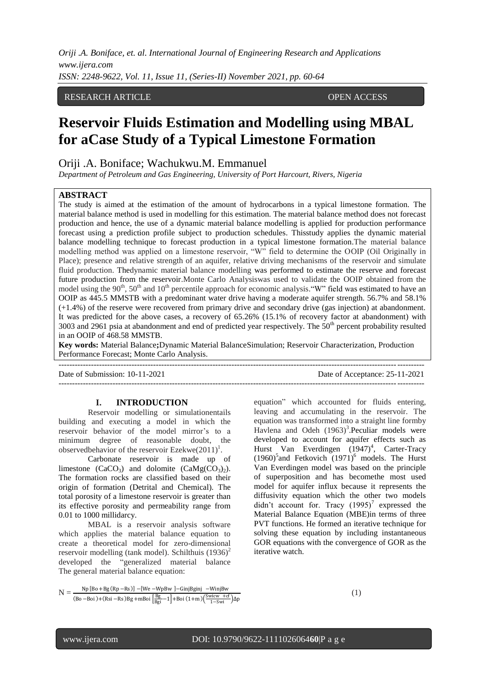*Oriji .A. Boniface, et. al. International Journal of Engineering Research and Applications www.ijera.com ISSN: 2248-9622, Vol. 11, Issue 11, (Series-II) November 2021, pp. 60-64*

# RESEARCH ARTICLE **OPEN ACCESS**

# **Reservoir Fluids Estimation and Modelling using MBAL for aCase Study of a Typical Limestone Formation**

Oriji .A. Boniface; Wachukwu.M. Emmanuel

*Department of Petroleum and Gas Engineering, University of Port Harcourt, Rivers, Nigeria*

#### **ABSTRACT**

The study is aimed at the estimation of the amount of hydrocarbons in a typical limestone formation. The material balance method is used in modelling for this estimation. The material balance method does not forecast production and hence, the use of a dynamic material balance modelling is applied for production performance forecast using a prediction profile subject to production schedules. Thisstudy applies the dynamic material balance modelling technique to forecast production in a typical limestone formation.The material balance modelling method was applied on a limestone reservoir, "W" field to determine the OOIP (Oil Originally in Place); presence and relative strength of an aquifer, relative driving mechanisms of the reservoir and simulate fluid production. Thedynamic material balance modelling was performed to estimate the reserve and forecast future production from the reservoir.Monte Carlo Analysiswas used to validate the OOIP obtained from the model using the 90<sup>th</sup>, 50<sup>th</sup> and 10<sup>th</sup> percentile approach for economic analysis. "W" field was estimated to have an OOIP as 445.5 MMSTB with a predominant water drive having a moderate aquifer strength. 56.7% and 58.1% (+1.4%) of the reserve were recovered from primary drive and secondary drive (gas injection) at abandonment. It was predicted for the above cases, a recovery of 65.26% (15.1% of recovery factor at abandonment) with 3003 and 2961 psia at abandonment and end of predicted year respectively. The  $50<sup>th</sup>$  percent probability resulted in an OOIP of 468.58 MMSTB.

**Key words:** Material Balance**;**Dynamic Material BalanceSimulation; Reservoir Characterization, Production Performance Forecast; Monte Carlo Analysis.

---------------------------------------------------------------------------------------------------------------------------------------

---------------------------------------------------------------------------------------------------------------------------------------

Date of Submission: 10-11-2021 Date of Acceptance: 25-11-2021

#### **I. INTRODUCTION**

Reservoir modelling or simulationentails building and executing a model in which the reservoir behavior of the model mirror's to a minimum degree of reasonable doubt, the observedbehavior of the reservoir Ezekwe $(2011)^1$ .

Carbonate reservoir is made up of limestone  $(CaCO_3)$  and dolomite  $(CaMg(CO_3)_2)$ . The formation rocks are classified based on their origin of formation (Detrital and Chemical). The total porosity of a limestone reservoir is greater than its effective porosity and permeability range from 0.01 to 1000 millidarcy.

MBAL is a reservoir analysis software which applies the material balance equation to create a theoretical model for zero-dimensional reservoir modelling (tank model). Schilthuis  $(1936)^2$ developed the "generalized material balance The general material balance equation:

equation" which accounted for fluids entering, leaving and accumulating in the reservoir. The equation was transformed into a straight line formby Havlena and Odeh  $(1963)^3$ . Peculiar models were developed to account for aquifer effects such as Hurst Van Everdingen (1947)<sup>4</sup>, Carter-Tracy  $(1960)^5$ and Fetkovich  $(1971)^6$  models. The Hurst Van Everdingen model was based on the principle of superposition and has becomethe most used model for aquifer influx because it represents the diffusivity equation which the other two models didn't account for. Tracy  $(1995)^7$  expressed the Material Balance Equation (MBE)in terms of three PVT functions. He formed an iterative technique for solving these equation by including instantaneous GOR equations with the convergence of GOR as the iterative watch.

(1)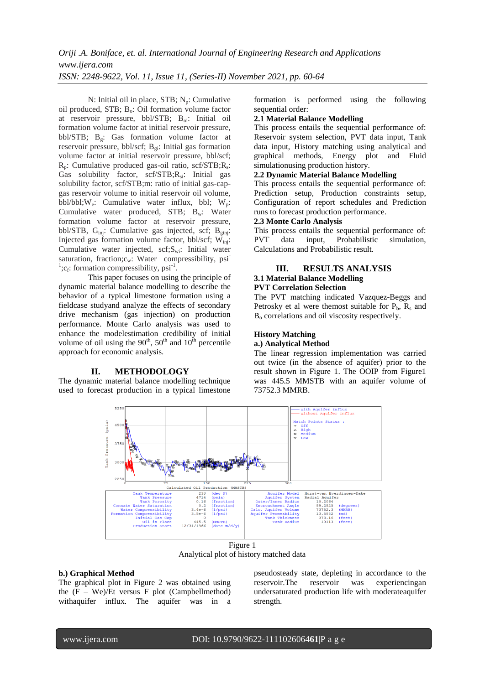N: Initial oil in place,  $STB$ ;  $N_p$ : Cumulative oil produced,  $STB$ ;  $B_0$ : Oil formation volume factor at reservoir pressure, bbl/STB; Boi: Initial oil formation volume factor at initial reservoir pressure, bbl/STB; Bg: Gas formation volume factor at reservoir pressure, bbl/scf;  $B_{gi}$ : Initial gas formation volume factor at initial reservoir pressure, bbl/scf;  $R_p$ : Cumulative produced gas-oil ratio, scf/STB; $R_s$ : Gas solubility factor, scf/STB;R<sub>si</sub>: Initial gas solubility factor, scf/STB;m: ratio of initial gas-capgas reservoir volume to initial reservoir oil volume, bbl/bbl; $W_e$ : Cumulative water influx, bbl;  $W_p$ : Cumulative water produced,  $STB$ ;  $B_w$ : Water formation volume factor at reservoir pressure, bbl/STB,  $G_{inj}$ : Cumulative gas injected, scf;  $B_{eini}$ : Injected gas formation volume factor, bbl/scf; Winj: Cumulative water injected, scf;Swi: Initial water saturation, fraction; $c_w$ : Water compressibility, psi <sup>1</sup>; $c_f$ : formation compressibility, psi<sup>-1</sup>.

This paper focuses on using the principle of dynamic material balance modelling to describe the behavior of a typical limestone formation using a fieldcase studyand analyze the effects of secondary drive mechanism (gas injection) on production performance. Monte Carlo analysis was used to enhance the modelestimation credibility of initial volume of oil using the  $90<sup>th</sup>$ ,  $50<sup>th</sup>$  and  $10<sup>th</sup>$  percentile approach for economic analysis.

# **II. METHODOLOGY**

The dynamic material balance modelling technique used to forecast production in a typical limestone formation is performed using the following sequential order:

#### **2.1 Material Balance Modelling**

This process entails the sequential performance of: Reservoir system selection, PVT data input, Tank data input, History matching using analytical and graphical methods, Energy plot and Fluid simulationusing production history.

#### **2.2 Dynamic Material Balance Modelling**

This process entails the sequential performance of: Prediction setup, Production constraints setup, Configuration of report schedules and Prediction runs to forecast production performance.

# **2.3 Monte Carlo Analysis**

This process entails the sequential performance of: PVT data input, Probabilistic simulation, Calculations and Probabilistic result.

# **III. RESULTS ANALYSIS**

# **3.1 Material Balance Modelling**

# **PVT Correlation Selection**

The PVT matching indicated Vazquez-Beggs and Petrosky et al were themost suitable for  $P_b$ ,  $R_s$  and B<sub>o</sub> correlations and oil viscosity respectively.

#### **History Matching**

#### **a.) Analytical Method**

The linear regression implementation was carried out twice (in the absence of aquifer) prior to the result shown in Figure 1. The OOIP from Figure1 was 445.5 MMSTB with an aquifer volume of 73752.3 MMRB.



Analytical plot of history matched data

## **b.) Graphical Method**

The graphical plot in Figure 2 was obtained using the  $(F - We)/Et$  versus F plot (Campbellmethod) withaquifer influx. The aquifer was in a pseudosteady state, depleting in accordance to the reservoir.The reservoir was experiencingan undersaturated production life with moderateaquifer strength.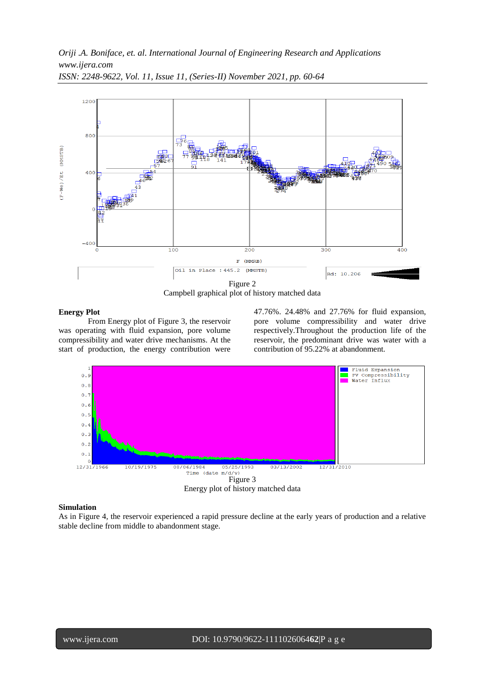

*ISSN: 2248-9622, Vol. 11, Issue 11, (Series-II) November 2021, pp. 60-64*

Campbell graphical plot of history matched data

#### **Energy Plot**

From Energy plot of Figure 3, the reservoir was operating with fluid expansion, pore volume compressibility and water drive mechanisms. At the start of production, the energy contribution were

47.76%. 24.48% and 27.76% for fluid expansion, pore volume compressibility and water drive respectively.Throughout the production life of the reservoir, the predominant drive was water with a contribution of 95.22% at abandonment.



#### **Simulation**

As in Figure 4, the reservoir experienced a rapid pressure decline at the early years of production and a relative stable decline from middle to abandonment stage.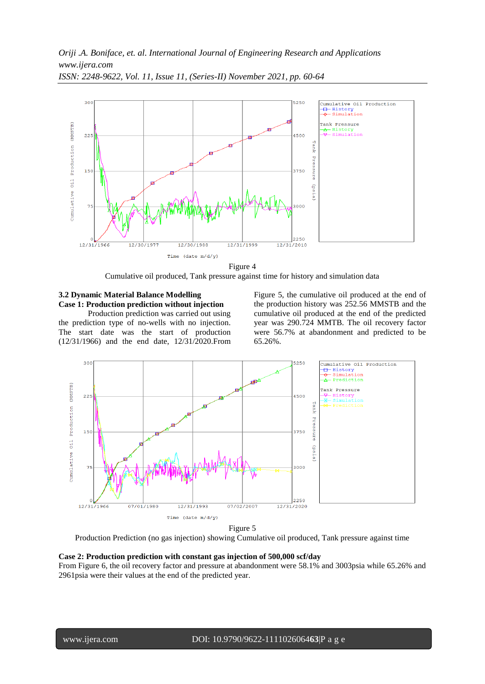*Oriji .A. Boniface, et. al. International Journal of Engineering Research and Applications www.ijera.com*



*ISSN: 2248-9622, Vol. 11, Issue 11, (Series-II) November 2021, pp. 60-64*

Figure 4

Cumulative oil produced, Tank pressure against time for history and simulation data

# **3.2 Dynamic Material Balance Modelling Case 1: Production prediction without injection**

Production prediction was carried out using the prediction type of no-wells with no injection. The start date was the start of production (12/31/1966) and the end date, 12/31/2020.From Figure 5, the cumulative oil produced at the end of the production history was 252.56 MMSTB and the cumulative oil produced at the end of the predicted year was 290.724 MMTB. The oil recovery factor were 56.7% at abandonment and predicted to be 65.26%.



Figure 5 Production Prediction (no gas injection) showing Cumulative oil produced, Tank pressure against time

#### **Case 2: Production prediction with constant gas injection of 500,000 scf/day**

From Figure 6, the oil recovery factor and pressure at abandonment were 58.1% and 3003psia while 65.26% and 2961psia were their values at the end of the predicted year.